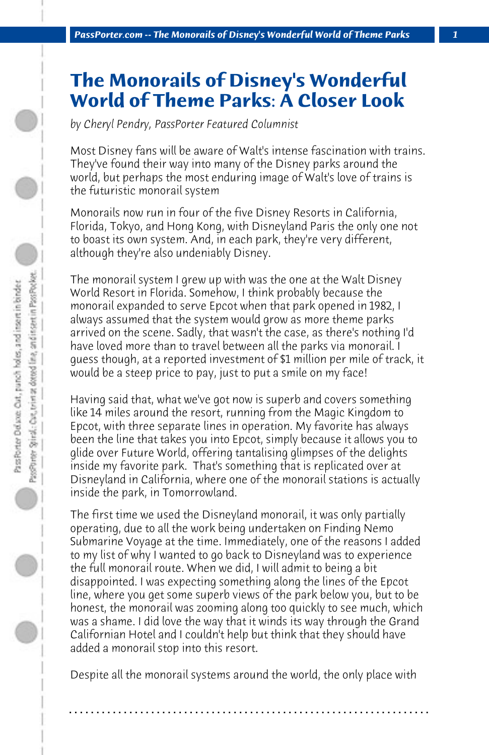## **The Monorails of Disney's Wonderful World of Theme Parks: A Closer Look**

*by Cheryl Pendry, PassPorter Featured Columnist*

Most Disney fans will be aware of Walt's intense fascination with trains. They've found their way into many of the Disney parks around the world, but perhaps the most enduring image of Walt's love of trains is the futuristic monorail system

Monorails now run in four of the five Disney Resorts in California, Florida, Tokyo, and Hong Kong, with Disneyland Paris the only one not to boast its own system. And, in each park, they're very different, although they're also undeniably Disney.

The monorail system I grew up with was the one at the Walt Disney World Resort in Florida. Somehow, I think probably because the monorail expanded to serve Epcot when that park opened in 1982, I always assumed that the system would grow as more theme parks arrived on the scene. Sadly, that wasn't the case, as there's nothing I'd have loved more than to travel between all the parks via monorail. I guess though, at a reported investment of \$1 million per mile of track, it would be a steep price to pay, just to put a smile on my face!

Having said that, what we've got now is superb and covers something like 14 miles around the resort, running from the Magic Kingdom to Epcot, with three separate lines in operation. My favorite has always been the line that takes you into Epcot, simply because it allows you to glide over Future World, offering tantalising glimpses of the delights inside my favorite park. That's something that is replicated over at Disneyland in California, where one of the monorail stations is actually inside the park, in Tomorrowland.

The first time we used the Disneyland monorail, it was only partially operating, due to all the work being undertaken on Finding Nemo Submarine Voyage at the time. Immediately, one of the reasons I added to my list of why I wanted to go back to Disneyland was to experience the full monorail route. When we did, I will admit to being a bit disappointed. I was expecting something along the lines of the Epcot line, where you get some superb views of the park below you, but to be honest, the monorail was zooming along too quickly to see much, which was a shame. I did love the way that it winds its way through the Grand Californian Hotel and I couldn't help but think that they should have added a monorail stop into this resort.

Despite all the monorail systems around the world, the only place with

**. . . . . . . . . . . . . . . . . . . . . . . . . . . . . . . . . . . . . . . . . . . . . . . . . . . . . . . . . . . . . . . . . .**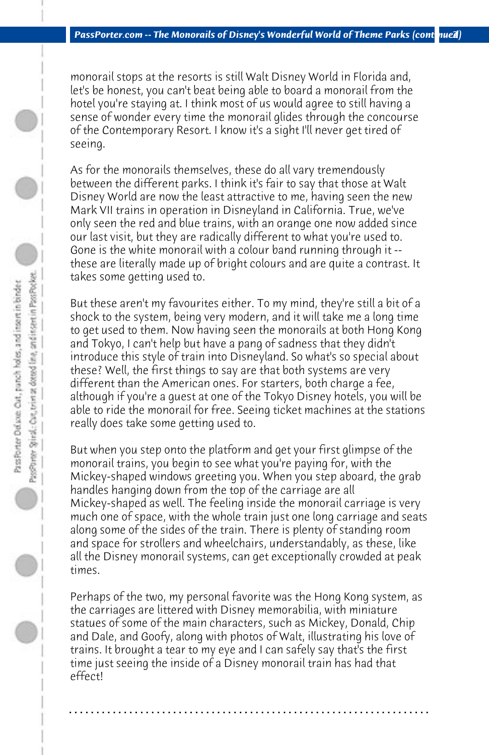monorail stops at the resorts is still Walt Disney World in Florida and, let's be honest, you can't beat being able to board a monorail from the hotel you're staying at. I think most of us would agree to still having a sense of wonder every time the monorail glides through the concourse of the Contemporary Resort. I know it's a sight I'll never get tired of seeing.

As for the monorails themselves, these do all vary tremendously between the different parks. I think it's fair to say that those at Walt Disney World are now the least attractive to me, having seen the new Mark VII trains in operation in Disneyland in California. True, we've only seen the red and blue trains, with an orange one now added since our last visit, but they are radically different to what you're used to. Gone is the white monorail with a colour band running through it - these are literally made up of bright colours and are quite a contrast. It takes some getting used to.

But these aren't my favourites either. To my mind, they're still a bit of a shock to the system, being very modern, and it will take me a long time to get used to them. Now having seen the monorails at both Hong Kong and Tokyo, I can't help but have a pang of sadness that they didn't introduce this style of train into Disneyland. So what's so special about these? Well, the first things to say are that both systems are very different than the American ones. For starters, both charge a fee, although if you're a guest at one of the Tokyo Disney hotels, you will be able to ride the monorail for free. Seeing ticket machines at the stations really does take some getting used to.

But when you step onto the platform and get your first glimpse of the monorail trains, you begin to see what you're paying for, with the Mickey-shaped windows greeting you. When you step aboard, the grab handles hanging down from the top of the carriage are all Mickey-shaped as well. The feeling inside the monorail carriage is very much one of space, with the whole train just one long carriage and seats along some of the sides of the train. There is plenty of standing room and space for strollers and wheelchairs, understandably, as these, like all the Disney monorail systems, can get exceptionally crowded at peak times.

Perhaps of the two, my personal favorite was the Hong Kong system, as the carriages are littered with Disney memorabilia, with miniature statues of some of the main characters, such as Mickey, Donald, Chip and Dale, and Goofy, along with photos of Walt, illustrating his love of trains. It brought a tear to my eye and I can safely say that's the first time just seeing the inside of a Disney monorail train has had that effect!

**. . . . . . . . . . . . . . . . . . . . . . . . . . . . . . . . . . . . . . . . . . . . . . . . . . . . . . . . . . . . . . . . . .**